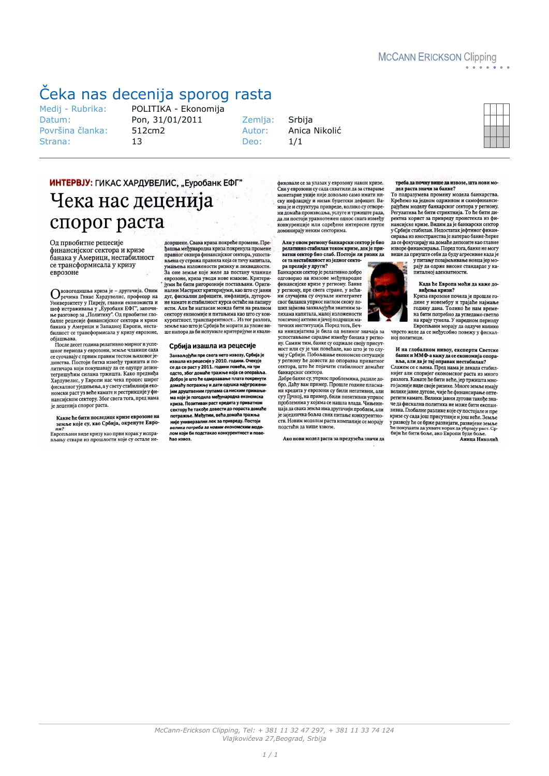# <span id="page-0-0"></span>Čeka nas decenija sporog rasta

Medii - Rubrika: Datum: Površina članka: Strana:

POLITIKA - Ekonomija Pon, 31/01/2011 512cm2  $13$ 

Zemlja: Autor: Den:

Srbija Anica Nikolić  $1/1$ 

## ИНТЕРВЈУ: ГИКАС ХАРДУВЕЛИС, "Еуробанк ЕФГ" Чека нас деценија спорог раста

Од првобитне рецесије финансијског сектора и кризе банака у Америци, нестабилност се трансформисала у кризу еврозоне

**Ововогодишња криза је** – другачија. Овим<br>Универзитету у Пиреју, главни економиста и шеф истраживања у "Еуробанк ЕФГ", започител и<br>неф истраживања у "Еуробанк ЕФГ", започител<br>балне рецесије финансијског сектора и кризе<br>б билност се трансформисала у кризу еврозоне,

онлиост се трансформисала у кризу<br>објашњава.<br>После десет година релативно мирн шног периода у еврозони, земље чланице сада шно периода у свроюни, зонь и тестом выховог је-<br>динства. Постоји битка између тржишта и по-<br>литичара који покушавају да се одупру дезинлетришућим силама тржишта. Како предвиђа<br>Хардувелис, у Европи нас чека процес ширег<br>фискалног уједињења, а у свету стабилнији економски раст уз веће камате и рестрикције у фи нансијском сектору. Због свега тога, пред нама је деценија спорог раста.

#### Какве ће бити последице кризе еврозоне на земље које су, као Србија, окренуте Евро-

ни.<br>Европљани виде кризу као први корак у испра-<br>вљању ствари из прошлости које су остале не-

довршене. Свака криза покреће промене. Пре-<br>ђашња међународна криза покренула промене правног оквира финансијског сектора, успостављена су строжа правнла која се тичу капитала, умањења изложености ризику и ликвидности. влена су строжа правила која се тичу капитала,<br>умањења изложености ризику и ликвидности.<br>За оне земље које желе да постану чланице еврозоне, криза уводи нове изазове. Критери-- уми ће бити ригорозније постављани. Ориги-<br>1 јуми ће бити ригорозније постављани. Оригиналин масчрил критеријули, кифлација, дугорочне камате и стабилност курса остаће на папиру исти. Али ће нагласак можда бити на реалном сектору економије и питањима као што су кон скиору комомире и питањима као што су констронения<br>земље као што је Србија ће морати да уложе ви-<br>ше напора да би испуниле критеријуме и квали-

#### Србија изашла из рецесије

Захваљујући пре свега нето извозу, Србија је изашла из рецесије у 2010. години. Очекује се да се раст у 2011. години повећа, на три<br>одсто, због домаће тражње која се опоравља Добро је што ће одмрзавање плата покренути домаћу потражњу и дати одушка најугрожени<br>јим друштвеним групама са ниским примањи-<br>ма које је погодила међународна економска ма које је погодила мелупармдна скопонски<br>криза. Позитиван раст кредита у приватном<br>сектору ће такође довести до пораста дома<br>потражње. Међутим, већа домаћа тражња .<br>Іста домаћ потражнее итслутини, сена деннала транисти<br>није универзални лек за привреду. Постоји<br>велика потреба за новим економским моди лом који би подстакао конкурентност и пове Ban usens

фиковале се за улазак у еврозону након кризе.<br>Сви у еврозони су сада схватили да за стварање монетарне уније није довољно само имати нимостарии типу индивидирования и делогии дефицит. Важна је и структура привреде, колико су отворени домаћа производња, услуге и тржиште рада, ла ли постоји уравнотежен однос снага између<br>конкуренције или одређене интересне групе<br>доминирају неким секторима.

Али у овом региону банкарски сектор је био<br>релативно стабилан током кризе, док је приватни сектор био слаб. Постоји ли ризик да<br>се та нестабилност из једног секто-

ра прелије у други?<br>Банкарски сектор је релативно добро одговорио на изазове мећународне финансијске кризе у региону. Банке<br>у региону, пре свега стране, у већини случајева су очувале интегритет свог биланса упркос наглом скоку ло-<br>ших зајмова захваљујући знатним залихама капитала, малој изложености токсичној активи и јачој подршци ма-

тичних институција. Поред тога, Беч-<br>ка иницијатива је била од великог значаја за ки пипаньяные сарадны између банака у регио-<br>ну. Самим тим, банке су одржале своју присутност или су је чак повећале, као што је то слу-<br>чај у Србији. Побољшање економске ситуације у региону ће довести до опоравка приватног сектора, што ће појачати стабилност домаћег банкарског сектора.

ошкарског сектора:<br>Добре банке су, упркос проблемима, радиле добро. Даћу вам пример. Прошле године пласма-<br>ни кредита у еврозони су били негативни, али<br>суу Грчкој, на пример, били позитивни упркос проблемима у којима се нашла влада. Чињени прослемные у појавне се нашла влада. "Ињени-<br>цаја да свака земља има другачији проблем, али је заједничка бољка свих питање конкурентности. Новим моделом раста компаније се морају<br>подстаћи да више извозе.

Ако нови модел раста за предузећа значи да

треба да почну више да извозе, шта нови мо-<br>дел раста значи за банке?

То подразумева промену модела банкарства Крећемо ка једном одрживом и самофинанси крепено ка једном одрживом и самофинанси-<br>рајућем моделу банкарског сектора у региону.<br>Регулатива ће бити стриктнија. То ће бити диго политика корист за привреду проистекла из фи-<br>нансијске кризе. Видим да је банкарски сектор<br>у Србији стабилан. Недостатак јефтиног финансирања из иностранства је натерао банке-ћерке сираны из эпохориностью до двигородно или с порожения для се фокусирају на домаће депозите као главне<br>изворе финансирања. Поред тога, банке не могу<br>више да приуште себи да буду агресивне када је

ритању позајмљивање новца јермо-<br>рају да одрже високе стандарде у ка-<br>рају да одрже високе стандарде у ка-<br>питалној адекватности.

Када ће Европа моћи да каже до<br>виђења кризи?

Криза еврозоне почела је прошле године у новембру и трајаће најмање<br>годину дана. Толико ће нам времена бити потребно да угледамо светло<br>Европъани морају тувела. У наредном периоду<br>Европъани морају да одлуче колико<br>чврсто желе да се међусобно повежу у фискал-

ної политици.

И на глобалном нивоу, експерти Светске и на последните на други състави с се кономија опора-<br>вља, али да је тај оправак нестабилан?<br>Слажем се с њима. Пред нама је декада стабил-

нијег али споријег економског раста из много разлога. Камате ће бити веће, јер тржишта мно-.<br>го јасније виде своје ризике. Многе земље имају велике јавне дугове, чије ће финансирање опте ретити камате. Велики јавни дугови такође значе да фискална политика не може бити експан. зивна. Глобалне разлике које су постојале и прекризе су сада још присутније и још веће. Земље у развоју ће се брже развијати, развијене земље<br>he покушати да ухвате корак да убрзају раст. Ср.<br>бији ће бити боље, ако Европи буде боље.

Анина Николић

McCann-Erickson Clipping, Tel: + 381 11 32 47 297, + 381 11 33 74 124 Vlajkovićeva 27, Beograd, Srbija

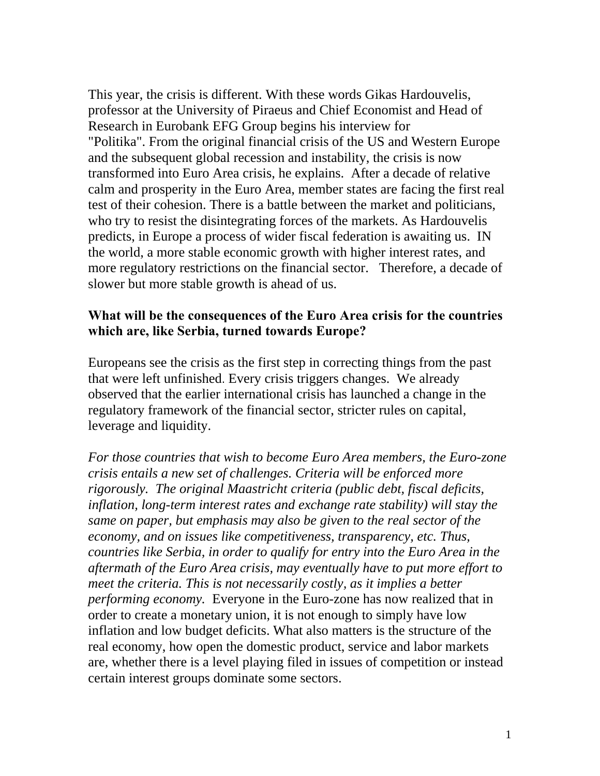This year, the crisis is different. With these words Gikas Hardouvelis, professor at the University of Piraeus and Chief Economist and Head of Research in Eurobank EFG Group begins his interview for "Politika". From the original financial crisis of the US and Western Europe and the subsequent global recession and instability, the crisis is now transformed into Euro Area crisis, he explains. After a decade of relative calm and prosperity in the Euro Area, member states are facing the first real test of their cohesion. There is a battle between the market and politicians, who try to resist the disintegrating forces of the markets. As Hardouvelis predicts, in Europe a process of wider fiscal federation is awaiting us. IN the world, a more stable economic growth with higher interest rates, and more regulatory restrictions on the financial sector. Therefore, a decade of slower but more stable growth is ahead of us.

#### **What will be the consequences of the Euro Area crisis for the countries which are, like Serbia, turned towards Europe?**

Europeans see the crisis as the first step in correcting things from the past that were left unfinished. Every crisis triggers changes. We already observed that the earlier international crisis has launched a change in the regulatory framework of the financial sector, stricter rules on capital, leverage and liquidity.

*For those countries that wish to become Euro Area members, the Euro-zone crisis entails a new set of challenges. Criteria will be enforced more rigorously. The original Maastricht criteria (public debt, fiscal deficits, inflation, long-term interest rates and exchange rate stability) will stay the same on paper, but emphasis may also be given to the real sector of the economy, and on issues like competitiveness, transparency, etc. Thus, countries like Serbia, in order to qualify for entry into the Euro Area in the aftermath of the Euro Area crisis, may eventually have to put more effort to meet the criteria. This is not necessarily costly, as it implies a better performing economy.* Everyone in the Euro-zone has now realized that in order to create a monetary union, it is not enough to simply have low inflation and low budget deficits. What also matters is the structure of the real economy, how open the domestic product, service and labor markets are, whether there is a level playing filed in issues of competition or instead certain interest groups dominate some sectors.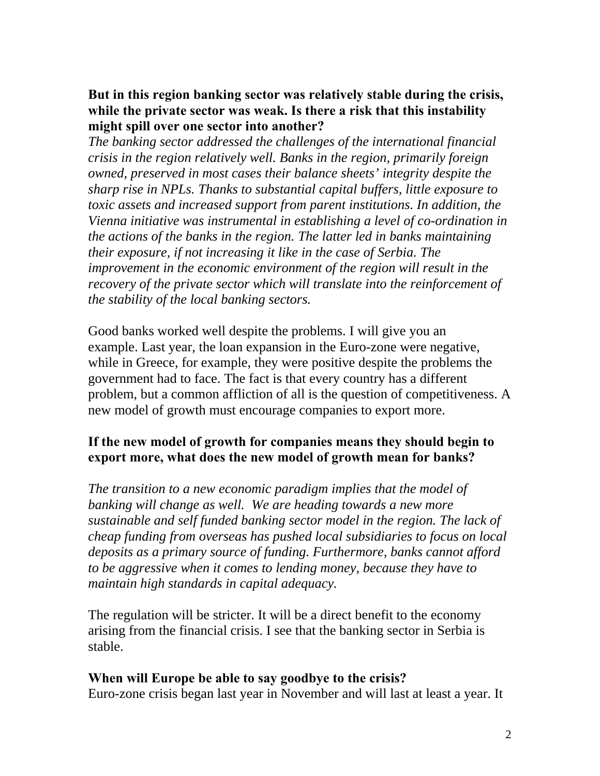#### **But in this region banking sector was relatively stable during the crisis, while the private sector was weak. Is there a risk that this instability might spill over one sector into another?**

*The banking sector addressed the challenges of the international financial crisis in the region relatively well. Banks in the region, primarily foreign owned, preserved in most cases their balance sheets' integrity despite the sharp rise in NPLs. Thanks to substantial capital buffers, little exposure to toxic assets and increased support from parent institutions. In addition, the Vienna initiative was instrumental in establishing a level of co-ordination in the actions of the banks in the region. The latter led in banks maintaining their exposure, if not increasing it like in the case of Serbia. The improvement in the economic environment of the region will result in the recovery of the private sector which will translate into the reinforcement of the stability of the local banking sectors.* 

Good banks worked well despite the problems. I will give you an example. Last year, the loan expansion in the Euro-zone were negative, while in Greece, for example, they were positive despite the problems the government had to face. The fact is that every country has a different problem, but a common affliction of all is the question of competitiveness. A new model of growth must encourage companies to export more.

### **If the new model of growth for companies means they should begin to export more, what does the new model of growth mean for banks?**

*The transition to a new economic paradigm implies that the model of banking will change as well. We are heading towards a new more sustainable and self funded banking sector model in the region. The lack of cheap funding from overseas has pushed local subsidiaries to focus on local deposits as a primary source of funding. Furthermore, banks cannot afford to be aggressive when it comes to lending money, because they have to maintain high standards in capital adequacy.* 

The regulation will be stricter. It will be a direct benefit to the economy arising from the financial crisis. I see that the banking sector in Serbia is stable.

#### **When will Europe be able to say goodbye to the crisis?**

Euro-zone crisis began last year in November and will last at least a year. It